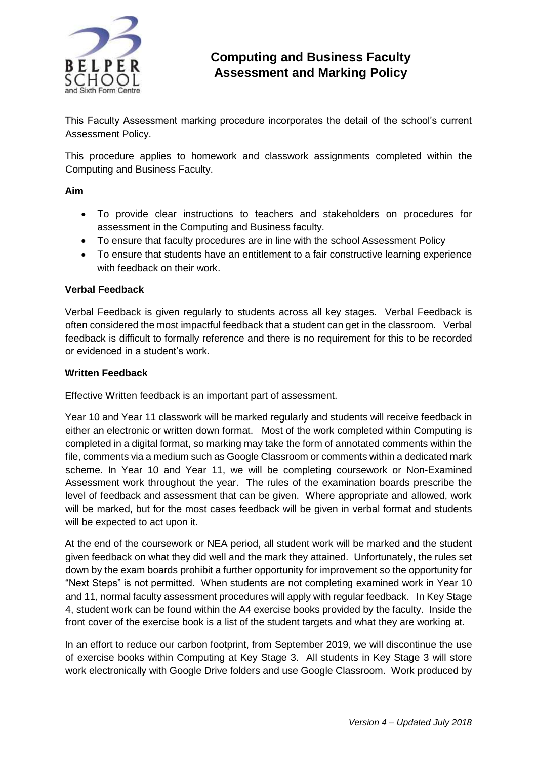

# **Computing and Business Faculty Assessment and Marking Policy**

This Faculty Assessment marking procedure incorporates the detail of the school's current Assessment Policy.

This procedure applies to homework and classwork assignments completed within the Computing and Business Faculty.

#### **Aim**

- To provide clear instructions to teachers and stakeholders on procedures for assessment in the Computing and Business faculty.
- To ensure that faculty procedures are in line with the school Assessment Policy
- To ensure that students have an entitlement to a fair constructive learning experience with feedback on their work.

## **Verbal Feedback**

Verbal Feedback is given regularly to students across all key stages. Verbal Feedback is often considered the most impactful feedback that a student can get in the classroom. Verbal feedback is difficult to formally reference and there is no requirement for this to be recorded or evidenced in a student's work.

#### **Written Feedback**

Effective Written feedback is an important part of assessment.

Year 10 and Year 11 classwork will be marked regularly and students will receive feedback in either an electronic or written down format. Most of the work completed within Computing is completed in a digital format, so marking may take the form of annotated comments within the file, comments via a medium such as Google Classroom or comments within a dedicated mark scheme. In Year 10 and Year 11, we will be completing coursework or Non-Examined Assessment work throughout the year. The rules of the examination boards prescribe the level of feedback and assessment that can be given. Where appropriate and allowed, work will be marked, but for the most cases feedback will be given in verbal format and students will be expected to act upon it.

At the end of the coursework or NEA period, all student work will be marked and the student given feedback on what they did well and the mark they attained. Unfortunately, the rules set down by the exam boards prohibit a further opportunity for improvement so the opportunity for "Next Steps" is not permitted. When students are not completing examined work in Year 10 and 11, normal faculty assessment procedures will apply with regular feedback. In Key Stage 4, student work can be found within the A4 exercise books provided by the faculty. Inside the front cover of the exercise book is a list of the student targets and what they are working at.

In an effort to reduce our carbon footprint, from September 2019, we will discontinue the use of exercise books within Computing at Key Stage 3. All students in Key Stage 3 will store work electronically with Google Drive folders and use Google Classroom. Work produced by